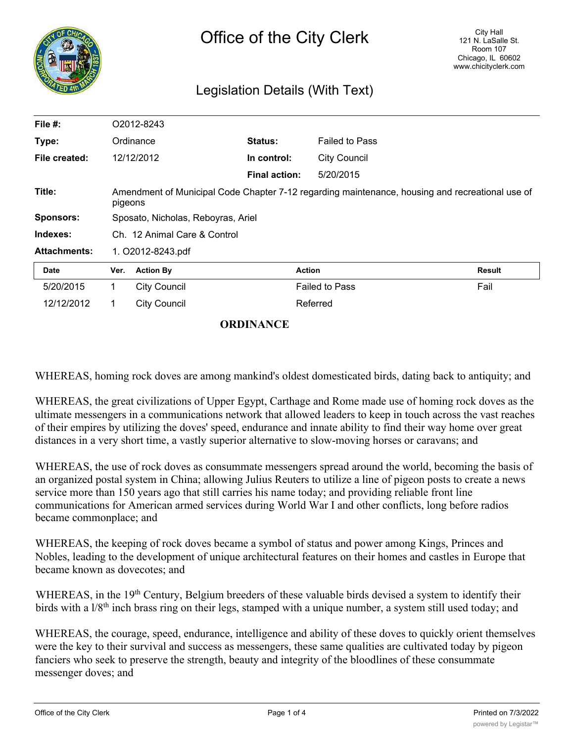| II <sub>o</sub> |  |  |  |  |  |  |
|-----------------|--|--|--|--|--|--|
|                 |  |  |  |  |  |  |
|                 |  |  |  |  |  |  |
|                 |  |  |  |  |  |  |
|                 |  |  |  |  |  |  |

## Legislation Details (With Text)

| File #:             | O2012-8243                                                                                                 |                     |                      |                       |               |
|---------------------|------------------------------------------------------------------------------------------------------------|---------------------|----------------------|-----------------------|---------------|
| Type:               | Ordinance                                                                                                  |                     | <b>Status:</b>       | <b>Failed to Pass</b> |               |
| File created:       |                                                                                                            | 12/12/2012          | In control:          | <b>City Council</b>   |               |
|                     |                                                                                                            |                     | <b>Final action:</b> | 5/20/2015             |               |
| Title:              | Amendment of Municipal Code Chapter 7-12 regarding maintenance, housing and recreational use of<br>pigeons |                     |                      |                       |               |
| <b>Sponsors:</b>    | Sposato, Nicholas, Reboyras, Ariel                                                                         |                     |                      |                       |               |
| Indexes:            | Ch. 12 Animal Care & Control                                                                               |                     |                      |                       |               |
| <b>Attachments:</b> | 1. O2012-8243.pdf                                                                                          |                     |                      |                       |               |
| Date                | Ver.                                                                                                       | <b>Action By</b>    |                      | <b>Action</b>         | <b>Result</b> |
| 5/20/2015           | 1.                                                                                                         | <b>City Council</b> |                      | <b>Failed to Pass</b> | Fail          |
| 12/12/2012          | 1.                                                                                                         | <b>City Council</b> |                      | Referred              |               |

## **ORDINANCE**

WHEREAS, homing rock doves are among mankind's oldest domesticated birds, dating back to antiquity; and

WHEREAS, the great civilizations of Upper Egypt, Carthage and Rome made use of homing rock doves as the ultimate messengers in a communications network that allowed leaders to keep in touch across the vast reaches of their empires by utilizing the doves' speed, endurance and innate ability to find their way home over great distances in a very short time, a vastly superior alternative to slow-moving horses or caravans; and

WHEREAS, the use of rock doves as consummate messengers spread around the world, becoming the basis of an organized postal system in China; allowing Julius Reuters to utilize a line of pigeon posts to create a news service more than 150 years ago that still carries his name today; and providing reliable front line communications for American armed services during World War I and other conflicts, long before radios became commonplace; and

WHEREAS, the keeping of rock doves became a symbol of status and power among Kings, Princes and Nobles, leading to the development of unique architectural features on their homes and castles in Europe that became known as dovecotes; and

WHEREAS, in the 19<sup>th</sup> Century, Belgium breeders of these valuable birds devised a system to identify their birds with a l/8<sup>th</sup> inch brass ring on their legs, stamped with a unique number, a system still used today; and

WHEREAS, the courage, speed, endurance, intelligence and ability of these doves to quickly orient themselves were the key to their survival and success as messengers, these same qualities are cultivated today by pigeon fanciers who seek to preserve the strength, beauty and integrity of the bloodlines of these consummate messenger doves; and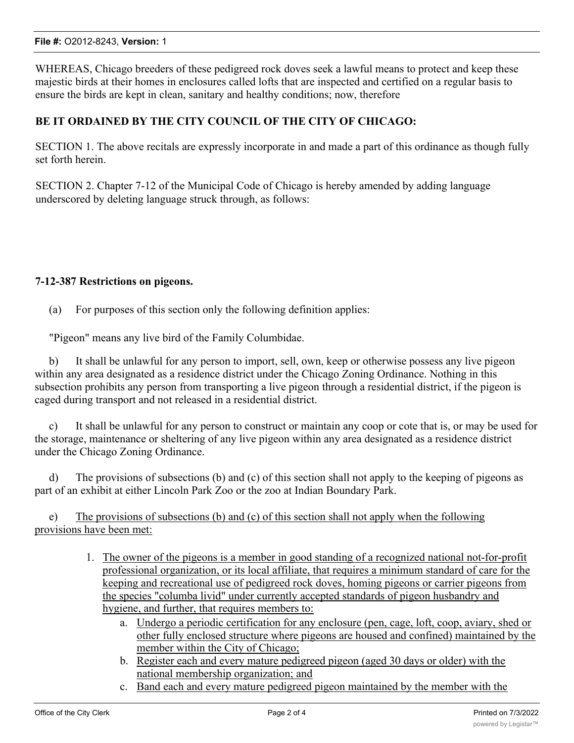WHEREAS, Chicago breeders of these pedigreed rock doves seek a lawful means to protect and keep these majestic birds at their homes in enclosures called lofts that are inspected and certified on a regular basis to ensure the birds are kept in clean, sanitary and healthy conditions; now, therefore

## **BE IT ORDAINED BY THE CITY COUNCIL OF THE CITY OF CHICAGO:**

SECTION 1. The above recitals are expressly incorporate in and made a part of this ordinance as though fully set forth herein.

SECTION 2. Chapter 7-12 of the Municipal Code of Chicago is hereby amended by adding language underscored by deleting language struck through, as follows:

## **7-12-387 Restrictions on pigeons.**

(a) For purposes of this section only the following definition applies:

"Pigeon" means any live bird of the Family Columbidae.

b) It shall be unlawful for any person to import, sell, own, keep or otherwise possess any live pigeon within any area designated as a residence district under the Chicago Zoning Ordinance. Nothing in this subsection prohibits any person from transporting a live pigeon through a residential district, if the pigeon is caged during transport and not released in a residential district.

c) It shall be unlawful for any person to construct or maintain any coop or cote that is, or may be used for the storage, maintenance or sheltering of any live pigeon within any area designated as a residence district under the Chicago Zoning Ordinance.

d) The provisions of subsections (b) and (c) of this section shall not apply to the keeping of pigeons as part of an exhibit at either Lincoln Park Zoo or the zoo at Indian Boundary Park.

e) The provisions of subsections (b) and (c) of this section shall not apply when the following provisions have been met:

- 1. The owner of the pigeons is a member in good standing of a recognized national not-for-profit professional organization, or its local affiliate, that requires a minimum standard of care for the keeping and recreational use of pedigreed rock doves, homing pigeons or carrier pigeons from the species "columba livid" under currently accepted standards of pigeon husbandry and hygiene, and further, that requires members to:
	- a. Undergo a periodic certification for any enclosure (pen, cage, loft, coop, aviary, shed or other fully enclosed structure where pigeons are housed and confined) maintained by the member within the City of Chicago;
	- b. Register each and every mature pedigreed pigeon (aged 30 days or older) with the national membership organization; and
	- c. Band each and every mature pedigreed pigeon maintained by the member with the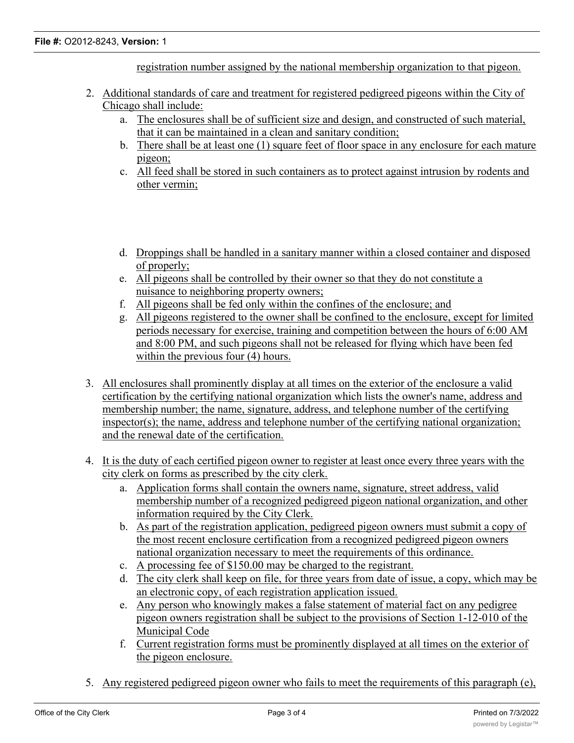registration number assigned by the national membership organization to that pigeon.

- 2. Additional standards of care and treatment for registered pedigreed pigeons within the City of Chicago shall include:
	- a. The enclosures shall be of sufficient size and design, and constructed of such material, that it can be maintained in a clean and sanitary condition;
	- b. There shall be at least one (1) square feet of floor space in any enclosure for each mature pigeon;
	- c. All feed shall be stored in such containers as to protect against intrusion by rodents and other vermin;
	- d. Droppings shall be handled in a sanitary manner within a closed container and disposed of properly;
	- e. All pigeons shall be controlled by their owner so that they do not constitute a nuisance to neighboring property owners;
	- f. All pigeons shall be fed only within the confines of the enclosure; and
	- g. All pigeons registered to the owner shall be confined to the enclosure, except for limited periods necessary for exercise, training and competition between the hours of 6:00 AM and 8:00 PM, and such pigeons shall not be released for flying which have been fed within the previous four  $(4)$  hours.
- 3. All enclosures shall prominently display at all times on the exterior of the enclosure a valid certification by the certifying national organization which lists the owner's name, address and membership number; the name, signature, address, and telephone number of the certifying inspector(s); the name, address and telephone number of the certifying national organization; and the renewal date of the certification.
- 4. It is the duty of each certified pigeon owner to register at least once every three years with the city clerk on forms as prescribed by the city clerk.
	- a. Application forms shall contain the owners name, signature, street address, valid membership number of a recognized pedigreed pigeon national organization, and other information required by the City Clerk.
	- b. As part of the registration application, pedigreed pigeon owners must submit a copy of the most recent enclosure certification from a recognized pedigreed pigeon owners national organization necessary to meet the requirements of this ordinance.
	- c. A processing fee of \$150.00 may be charged to the registrant.
	- d. The city clerk shall keep on file, for three years from date of issue, a copy, which may be an electronic copy, of each registration application issued.
	- e. Any person who knowingly makes a false statement of material fact on any pedigree pigeon owners registration shall be subject to the provisions of Section 1-12-010 of the Municipal Code
	- f. Current registration forms must be prominently displayed at all times on the exterior of the pigeon enclosure.
- 5. Any registered pedigreed pigeon owner who fails to meet the requirements of this paragraph (e),